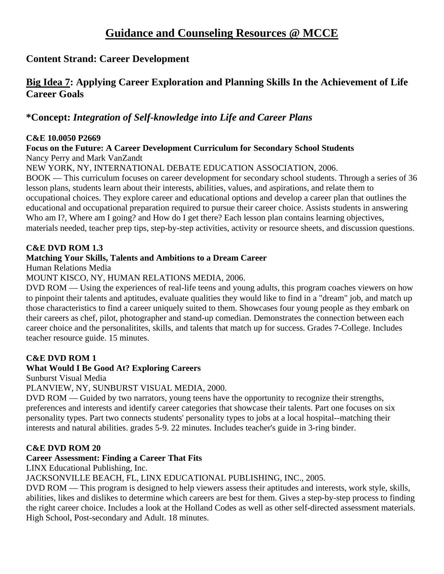# **Content Strand: Career Development**

# **Big Idea 7: Applying Career Exploration and Planning Skills In the Achievement of Life Career Goals**

# **\*Concept:** *Integration of Self-knowledge into Life and Career Plans*

#### **C&E 10.0050 P2669**

**Focus on the Future: A Career Development Curriculum for Secondary School Students**  Nancy Perry and Mark VanZandt

NEW YORK, NY, INTERNATIONAL DEBATE EDUCATION ASSOCIATION, 2006.

BOOK — This curriculum focuses on career development for secondary school students. Through a series of 36 lesson plans, students learn about their interests, abilities, values, and aspirations, and relate them to occupational choices. They explore career and educational options and develop a career plan that outlines the educational and occupational preparation required to pursue their career choice. Assists students in answering Who am I?, Where am I going? and How do I get there? Each lesson plan contains learning objectives, materials needed, teacher prep tips, step-by-step activities, activity or resource sheets, and discussion questions.

#### **C&E DVD ROM 1.3**

#### **Matching Your Skills, Talents and Ambitions to a Dream Career**

Human Relations Media

#### MOUNT KISCO, NY, HUMAN RELATIONS MEDIA, 2006.

DVD ROM — Using the experiences of real-life teens and young adults, this program coaches viewers on how to pinpoint their talents and aptitudes, evaluate qualities they would like to find in a "dream" job, and match up those characteristics to find a career uniquely suited to them. Showcases four young people as they embark on their careers as chef, pilot, photographer and stand-up comedian. Demonstrates the connection between each career choice and the personalitites, skills, and talents that match up for success. Grades 7-College. Includes teacher resource guide. 15 minutes.

#### **C&E DVD ROM 1**

#### **What Would I Be Good At? Exploring Careers**

Sunburst Visual Media

PLANVIEW, NY, SUNBURST VISUAL MEDIA, 2000.

DVD ROM — Guided by two narrators, young teens have the opportunity to recognize their strengths, preferences and interests and identify career categories that showcase their talents. Part one focuses on six personality types. Part two connects students' personality types to jobs at a local hospital--matching their interests and natural abilities. grades 5-9. 22 minutes. Includes teacher's guide in 3-ring binder.

#### **C&E DVD ROM 20**

### **Career Assessment: Finding a Career That Fits**

LINX Educational Publishing, Inc.

#### JACKSONVILLE BEACH, FL, LINX EDUCATIONAL PUBLISHING, INC., 2005.

DVD ROM — This program is designed to help viewers assess their aptitudes and interests, work style, skills, abilities, likes and dislikes to determine which careers are best for them. Gives a step-by-step process to finding the right career choice. Includes a look at the Holland Codes as well as other self-directed assessment materials. High School, Post-secondary and Adult. 18 minutes.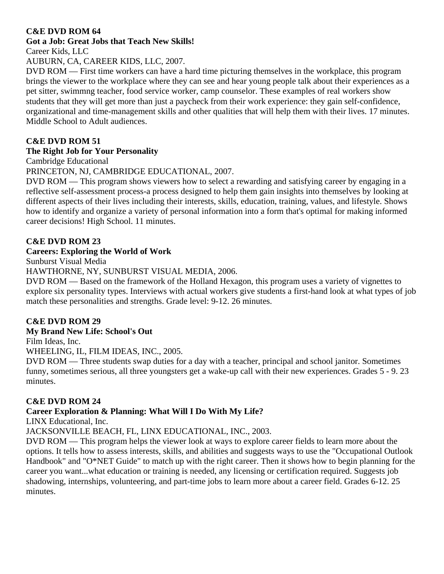### **Got a Job: Great Jobs that Teach New Skills!**

Career Kids, LLC

AUBURN, CA, CAREER KIDS, LLC, 2007.

DVD ROM — First time workers can have a hard time picturing themselves in the workplace, this program brings the viewer to the workplace where they can see and hear young people talk about their experiences as a pet sitter, swimmng teacher, food service worker, camp counselor. These examples of real workers show students that they will get more than just a paycheck from their work experience: they gain self-confidence, organizational and time-management skills and other qualities that will help them with their lives. 17 minutes. Middle School to Adult audiences.

# **C&E DVD ROM 51**

# **The Right Job for Your Personality**

Cambridge Educational

PRINCETON, NJ, CAMBRIDGE EDUCATIONAL, 2007.

DVD ROM — This program shows viewers how to select a rewarding and satisfying career by engaging in a reflective self-assessment process-a process designed to help them gain insights into themselves by looking at different aspects of their lives including their interests, skills, education, training, values, and lifestyle. Shows how to identify and organize a variety of personal information into a form that's optimal for making informed career decisions! High School. 11 minutes.

### **C&E DVD ROM 23**

#### **Careers: Exploring the World of Work**

Sunburst Visual Media

HAWTHORNE, NY, SUNBURST VISUAL MEDIA, 2006.

DVD ROM — Based on the framework of the Holland Hexagon, this program uses a variety of vignettes to explore six personality types. Interviews with actual workers give students a first-hand look at what types of job match these personalities and strengths. Grade level: 9-12. 26 minutes.

### **C&E DVD ROM 29**

**My Brand New Life: School's Out** 

Film Ideas, Inc.

WHEELING, IL, FILM IDEAS, INC., 2005.

DVD ROM — Three students swap duties for a day with a teacher, principal and school janitor. Sometimes funny, sometimes serious, all three youngsters get a wake-up call with their new experiences. Grades 5 - 9. 23 minutes.

#### **C&E DVD ROM 24**

### **Career Exploration & Planning: What Will I Do With My Life?**

LINX Educational, Inc.

JACKSONVILLE BEACH, FL, LINX EDUCATIONAL, INC., 2003.

DVD ROM — This program helps the viewer look at ways to explore career fields to learn more about the options. It tells how to assess interests, skills, and abilities and suggests ways to use the "Occupational Outlook Handbook" and "O\*NET Guide" to match up with the right career. Then it shows how to begin planning for the career you want...what education or training is needed, any licensing or certification required. Suggests job shadowing, internships, volunteering, and part-time jobs to learn more about a career field. Grades 6-12. 25 minutes.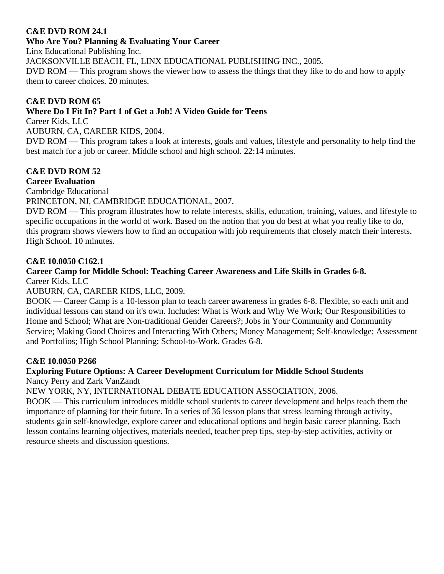#### **C&E DVD ROM 24.1**

#### **Who Are You? Planning & Evaluating Your Career**

Linx Educational Publishing Inc.

JACKSONVILLE BEACH, FL, LINX EDUCATIONAL PUBLISHING INC., 2005.

DVD ROM — This program shows the viewer how to assess the things that they like to do and how to apply them to career choices. 20 minutes.

#### **C&E DVD ROM 65**

### **Where Do I Fit In? Part 1 of Get a Job! A Video Guide for Teens**

Career Kids, LLC

AUBURN, CA, CAREER KIDS, 2004.

DVD ROM — This program takes a look at interests, goals and values, lifestyle and personality to help find the best match for a job or career. Middle school and high school. 22:14 minutes.

#### **C&E DVD ROM 52**

#### **Career Evaluation**

Cambridge Educational

PRINCETON, NJ, CAMBRIDGE EDUCATIONAL, 2007.

DVD ROM — This program illustrates how to relate interests, skills, education, training, values, and lifestyle to specific occupations in the world of work. Based on the notion that you do best at what you really like to do, this program shows viewers how to find an occupation with job requirements that closely match their interests. High School. 10 minutes.

#### **C&E 10.0050 C162.1**

#### **Career Camp for Middle School: Teaching Career Awareness and Life Skills in Grades 6-8.**  Career Kids, LLC

#### AUBURN, CA, CAREER KIDS, LLC, 2009.

BOOK — Career Camp is a 10-lesson plan to teach career awareness in grades 6-8. Flexible, so each unit and individual lessons can stand on it's own. Includes: What is Work and Why We Work; Our Responsibilities to Home and School; What are Non-traditional Gender Careers?; Jobs in Your Community and Community Service; Making Good Choices and Interacting With Others; Money Management; Self-knowledge; Assessment and Portfolios; High School Planning; School-to-Work. Grades 6-8.

### **C&E 10.0050 P266**

# **Exploring Future Options: A Career Development Curriculum for Middle School Students**

Nancy Perry and Zark VanZandt

NEW YORK, NY, INTERNATIONAL DEBATE EDUCATION ASSOCIATION, 2006.

BOOK — This curriculum introduces middle school students to career development and helps teach them the importance of planning for their future. In a series of 36 lesson plans that stress learning through activity, students gain self-knowledge, explore career and educational options and begin basic career planning. Each lesson contains learning objectives, materials needed, teacher prep tips, step-by-step activities, activity or resource sheets and discussion questions.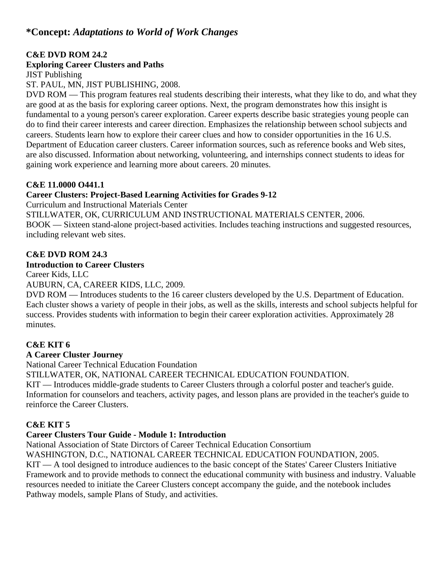# **\*Concept:** *Adaptations to World of Work Changes*

#### **C&E DVD ROM 24.2**

#### **Exploring Career Clusters and Paths**

JIST Publishing

ST. PAUL, MN, JIST PUBLISHING, 2008.

DVD ROM — This program features real students describing their interests, what they like to do, and what they are good at as the basis for exploring career options. Next, the program demonstrates how this insight is fundamental to a young person's career exploration. Career experts describe basic strategies young people can do to find their career interests and career direction. Emphasizes the relationship between school subjects and careers. Students learn how to explore their career clues and how to consider opportunities in the 16 U.S. Department of Education career clusters. Career information sources, such as reference books and Web sites, are also discussed. Information about networking, volunteering, and internships connect students to ideas for gaining work experience and learning more about careers. 20 minutes.

#### **C&E 11.0000 O441.1**

#### **Career Clusters: Project-Based Learning Activities for Grades 9-12**

Curriculum and Instructional Materials Center

STILLWATER, OK, CURRICULUM AND INSTRUCTIONAL MATERIALS CENTER, 2006. BOOK — Sixteen stand-alone project-based activities. Includes teaching instructions and suggested resources, including relevant web sites.

#### **C&E DVD ROM 24.3**

#### **Introduction to Career Clusters**

Career Kids, LLC

AUBURN, CA, CAREER KIDS, LLC, 2009.

DVD ROM — Introduces students to the 16 career clusters developed by the U.S. Department of Education. Each cluster shows a variety of people in their jobs, as well as the skills, interests and school subjects helpful for success. Provides students with information to begin their career exploration activities. Approximately 28 minutes.

#### **C&E KIT 6**

#### **A Career Cluster Journey**

National Career Technical Education Foundation

STILLWATER, OK, NATIONAL CAREER TECHNICAL EDUCATION FOUNDATION.

KIT — Introduces middle-grade students to Career Clusters through a colorful poster and teacher's guide. Information for counselors and teachers, activity pages, and lesson plans are provided in the teacher's guide to reinforce the Career Clusters.

#### **C&E KIT 5**

#### **Career Clusters Tour Guide - Module 1: Introduction**

National Association of State Dirctors of Career Technical Education Consortium

WASHINGTON, D.C., NATIONAL CAREER TECHNICAL EDUCATION FOUNDATION, 2005.

KIT — A tool designed to introduce audiences to the basic concept of the States' Career Clusters Initiative Framework and to provide methods to connect the educational community with business and industry. Valuable resources needed to initiate the Career Clusters concept accompany the guide, and the notebook includes Pathway models, sample Plans of Study, and activities.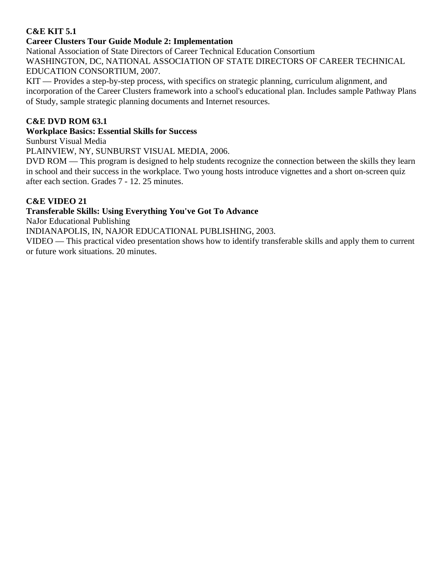### **C&E KIT 5.1**

#### **Career Clusters Tour Guide Module 2: Implementation**

National Association of State Directors of Career Technical Education Consortium WASHINGTON, DC, NATIONAL ASSOCIATION OF STATE DIRECTORS OF CAREER TECHNICAL EDUCATION CONSORTIUM, 2007.

KIT — Provides a step-by-step process, with specifics on strategic planning, curriculum alignment, and incorporation of the Career Clusters framework into a school's educational plan. Includes sample Pathway Plans of Study, sample strategic planning documents and Internet resources.

#### **C&E DVD ROM 63.1**

#### **Workplace Basics: Essential Skills for Success**

Sunburst Visual Media

PLAINVIEW, NY, SUNBURST VISUAL MEDIA, 2006.

DVD ROM — This program is designed to help students recognize the connection between the skills they learn in school and their success in the workplace. Two young hosts introduce vignettes and a short on-screen quiz after each section. Grades 7 - 12. 25 minutes.

#### **C&E VIDEO 21**

#### **Transferable Skills: Using Everything You've Got To Advance**

NaJor Educational Publishing

INDIANAPOLIS, IN, NAJOR EDUCATIONAL PUBLISHING, 2003.

VIDEO — This practical video presentation shows how to identify transferable skills and apply them to current or future work situations. 20 minutes.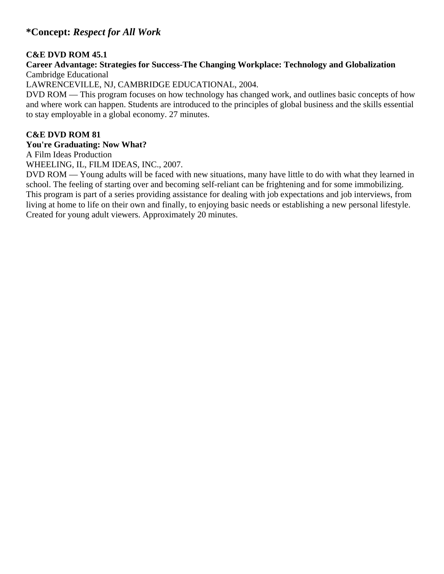# **\*Concept:** *Respect for All Work*

#### **C&E DVD ROM 45.1**

#### **Career Advantage: Strategies for Success-The Changing Workplace: Technology and Globalization**  Cambridge Educational

LAWRENCEVILLE, NJ, CAMBRIDGE EDUCATIONAL, 2004.

DVD ROM — This program focuses on how technology has changed work, and outlines basic concepts of how and where work can happen. Students are introduced to the principles of global business and the skills essential to stay employable in a global economy. 27 minutes.

#### **C&E DVD ROM 81**

#### **You're Graduating: Now What?**

A Film Ideas Production

WHEELING, IL, FILM IDEAS, INC., 2007.

DVD ROM — Young adults will be faced with new situations, many have little to do with what they learned in school. The feeling of starting over and becoming self-reliant can be frightening and for some immobilizing. This program is part of a series providing assistance for dealing with job expectations and job interviews, from living at home to life on their own and finally, to enjoying basic needs or establishing a new personal lifestyle. Created for young adult viewers. Approximately 20 minutes.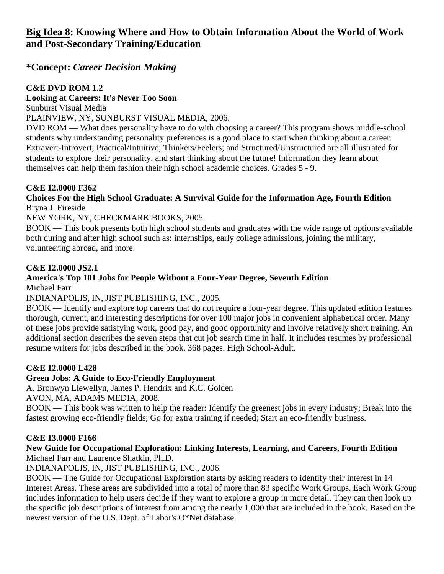# **\*Concept:** *Career Decision Making*

## **C&E DVD ROM 1.2**

### **Looking at Careers: It's Never Too Soon**

Sunburst Visual Media

PLAINVIEW, NY, SUNBURST VISUAL MEDIA, 2006.

DVD ROM — What does personality have to do with choosing a career? This program shows middle-school students why understanding personality preferences is a good place to start when thinking about a career. Extravert-Introvert; Practical/Intuitive; Thinkers/Feelers; and Structured/Unstructured are all illustrated for students to explore their personality. and start thinking about the future! Information they learn about themselves can help them fashion their high school academic choices. Grades 5 - 9.

### **C&E 12.0000 F362**

#### **Choices For the High School Graduate: A Survival Guide for the Information Age, Fourth Edition**  Bryna J. Fireside

NEW YORK, NY, CHECKMARK BOOKS, 2005.

BOOK — This book presents both high school students and graduates with the wide range of options available both during and after high school such as: internships, early college admissions, joining the military, volunteering abroad, and more.

### **C&E 12.0000 JS2.1**

# **America's Top 101 Jobs for People Without a Four-Year Degree, Seventh Edition**

Michael Farr

INDIANAPOLIS, IN, JIST PUBLISHING, INC., 2005.

BOOK — Identify and explore top careers that do not require a four-year degree. This updated edition features thorough, current, and interesting descriptions for over 100 major jobs in convenient alphabetical order. Many of these jobs provide satisfying work, good pay, and good opportunity and involve relatively short training. An additional section describes the seven steps that cut job search time in half. It includes resumes by professional resume writers for jobs described in the book. 368 pages. High School-Adult.

### **C&E 12.0000 L428**

### **Green Jobs: A Guide to Eco-Friendly Employment**

A. Bronwyn Llewellyn, James P. Hendrix and K.C. Golden

AVON, MA, ADAMS MEDIA, 2008.

BOOK — This book was written to help the reader: Identify the greenest jobs in every industry; Break into the fastest growing eco-friendly fields; Go for extra training if needed; Start an eco-friendly business.

### **C&E 13.0000 F166**

#### **New Guide for Occupational Exploration: Linking Interests, Learning, and Careers, Fourth Edition**  Michael Farr and Laurence Shatkin, Ph.D.

INDIANAPOLIS, IN, JIST PUBLISHING, INC., 2006.

BOOK — The Guide for Occupational Exploration starts by asking readers to identify their interest in 14 Interest Areas. These areas are subdivided into a total of more than 83 specific Work Groups. Each Work Group includes information to help users decide if they want to explore a group in more detail. They can then look up the specific job descriptions of interest from among the nearly 1,000 that are included in the book. Based on the newest version of the U.S. Dept. of Labor's O\*Net database.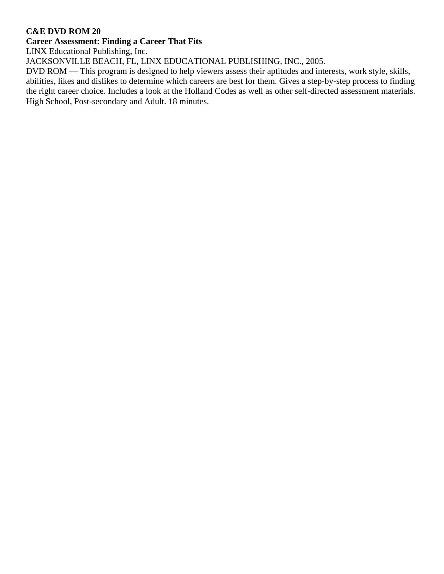#### **Career Assessment: Finding a Career That Fits**

LINX Educational Publishing, Inc.

JACKSONVILLE BEACH, FL, LINX EDUCATIONAL PUBLISHING, INC., 2005.

DVD ROM — This program is designed to help viewers assess their aptitudes and interests, work style, skills, abilities, likes and dislikes to determine which careers are best for them. Gives a step-by-step process to finding the right career choice. Includes a look at the Holland Codes as well as other self-directed assessment materials. High School, Post-secondary and Adult. 18 minutes.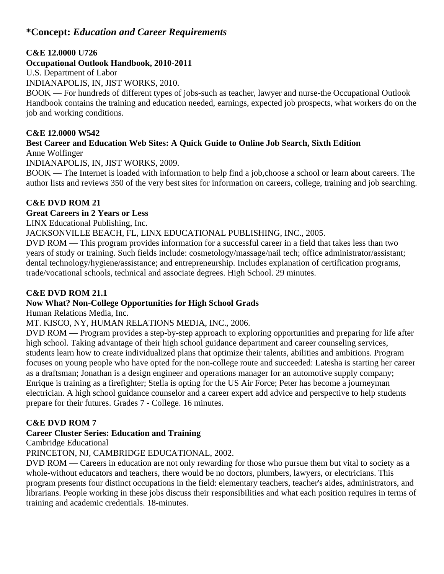# **\*Concept:** *Education and Career Requirements*

#### **C&E 12.0000 U726**

#### **Occupational Outlook Handbook, 2010-2011**

U.S. Department of Labor

INDIANAPOLIS, IN, JIST WORKS, 2010.

BOOK — For hundreds of different types of jobs-such as teacher, lawyer and nurse-the Occupational Outlook Handbook contains the training and education needed, earnings, expected job prospects, what workers do on the job and working conditions.

#### **C&E 12.0000 W542**

# **Best Career and Education Web Sites: A Quick Guide to Online Job Search, Sixth Edition**

Anne Wolfinger

INDIANAPOLIS, IN, JIST WORKS, 2009.

BOOK — The Internet is loaded with information to help find a job,choose a school or learn about careers. The author lists and reviews 350 of the very best sites for information on careers, college, training and job searching.

### **C&E DVD ROM 21**

**Great Careers in 2 Years or Less** 

LINX Educational Publishing, Inc.

JACKSONVILLE BEACH, FL, LINX EDUCATIONAL PUBLISHING, INC., 2005.

DVD ROM — This program provides information for a successful career in a field that takes less than two years of study or training. Such fields include: cosmetology/massage/nail tech; office administrator/assistant; dental technology/hygiene/assistance; and entrepreneurship. Includes explanation of certification programs, trade/vocational schools, technical and associate degrees. High School. 29 minutes.

### **C&E DVD ROM 21.1**

### **Now What? Non-College Opportunities for High School Grads**

Human Relations Media, Inc.

### MT. KISCO, NY, HUMAN RELATIONS MEDIA, INC., 2006.

DVD ROM — Program provides a step-by-step approach to exploring opportunities and preparing for life after high school. Taking advantage of their high school guidance department and career counseling services, students learn how to create individualized plans that optimize their talents, abilities and ambitions. Program focuses on young people who have opted for the non-college route and succeeded: Latesha is starting her career as a draftsman; Jonathan is a design engineer and operations manager for an automotive supply company; Enrique is training as a firefighter; Stella is opting for the US Air Force; Peter has become a journeyman electrician. A high school guidance counselor and a career expert add advice and perspective to help students prepare for their futures. Grades 7 - College. 16 minutes.

### **C&E DVD ROM 7**

### **Career Cluster Series: Education and Training**

Cambridge Educational

PRINCETON, NJ, CAMBRIDGE EDUCATIONAL, 2002.

DVD ROM — Careers in education are not only rewarding for those who pursue them but vital to society as a whole-without educators and teachers, there would be no doctors, plumbers, lawyers, or electricians. This program presents four distinct occupations in the field: elementary teachers, teacher's aides, administrators, and librarians. People working in these jobs discuss their responsibilities and what each position requires in terms of training and academic credentials. 18-minutes.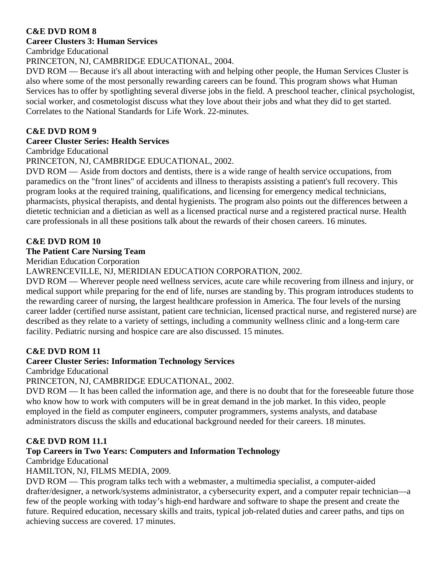#### **Career Clusters 3: Human Services**

Cambridge Educational

PRINCETON, NJ, CAMBRIDGE EDUCATIONAL, 2004.

DVD ROM — Because it's all about interacting with and helping other people, the Human Services Cluster is also where some of the most personally rewarding careers can be found. This program shows what Human Services has to offer by spotlighting several diverse jobs in the field. A preschool teacher, clinical psychologist, social worker, and cosmetologist discuss what they love about their jobs and what they did to get started. Correlates to the National Standards for Life Work. 22-minutes.

#### **C&E DVD ROM 9**

#### **Career Cluster Series: Health Services**

Cambridge Educational

PRINCETON, NJ, CAMBRIDGE EDUCATIONAL, 2002.

DVD ROM — Aside from doctors and dentists, there is a wide range of health service occupations, from paramedics on the "front lines" of accidents and illness to therapists assisting a patient's full recovery. This program looks at the required training, qualifications, and licensing for emergency medical technicians, pharmacists, physical therapists, and dental hygienists. The program also points out the differences between a dietetic technician and a dietician as well as a licensed practical nurse and a registered practical nurse. Health care professionals in all these positions talk about the rewards of their chosen careers. 16 minutes.

### **C&E DVD ROM 10**

#### **The Patient Care Nursing Team**

Meridian Education Corporation

#### LAWRENCEVILLE, NJ, MERIDIAN EDUCATION CORPORATION, 2002.

DVD ROM — Wherever people need wellness services, acute care while recovering from illness and injury, or medical support while preparing for the end of life, nurses are standing by. This program introduces students to the rewarding career of nursing, the largest healthcare profession in America. The four levels of the nursing career ladder (certified nurse assistant, patient care technician, licensed practical nurse, and registered nurse) are described as they relate to a variety of settings, including a community wellness clinic and a long-term care facility. Pediatric nursing and hospice care are also discussed. 15 minutes.

#### **C&E DVD ROM 11**

### **Career Cluster Series: Information Technology Services**

Cambridge Educational

#### PRINCETON, NJ, CAMBRIDGE EDUCATIONAL, 2002.

DVD ROM — It has been called the information age, and there is no doubt that for the foreseeable future those who know how to work with computers will be in great demand in the job market. In this video, people employed in the field as computer engineers, computer programmers, systems analysts, and database administrators discuss the skills and educational background needed for their careers. 18 minutes.

### **C&E DVD ROM 11.1**

### **Top Careers in Two Years: Computers and Information Technology**

Cambridge Educational

#### HAMILTON, NJ, FILMS MEDIA, 2009.

DVD ROM — This program talks tech with a webmaster, a multimedia specialist, a computer-aided drafter/designer, a network/systems administrator, a cybersecurity expert, and a computer repair technician—a few of the people working with today's high-end hardware and software to shape the present and create the future. Required education, necessary skills and traits, typical job-related duties and career paths, and tips on achieving success are covered. 17 minutes.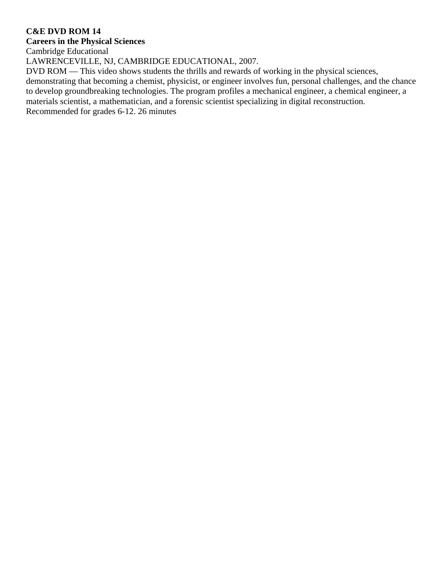#### **Careers in the Physical Sciences**

Cambridge Educational

LAWRENCEVILLE, NJ, CAMBRIDGE EDUCATIONAL, 2007.

DVD ROM — This video shows students the thrills and rewards of working in the physical sciences,

demonstrating that becoming a chemist, physicist, or engineer involves fun, personal challenges, and the chance to develop groundbreaking technologies. The program profiles a mechanical engineer, a chemical engineer, a materials scientist, a mathematician, and a forensic scientist specializing in digital reconstruction.

Recommended for grades 6-12. 26 minutes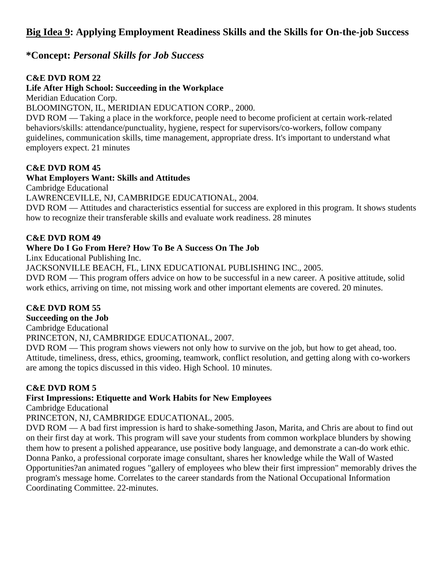# **Big Idea 9: Applying Employment Readiness Skills and the Skills for On-the-job Success**

# **\*Concept:** *Personal Skills for Job Success*

#### **C&E DVD ROM 22**

#### **Life After High School: Succeeding in the Workplace**

Meridian Education Corp.

#### BLOOMINGTON, IL, MERIDIAN EDUCATION CORP., 2000.

DVD ROM — Taking a place in the workforce, people need to become proficient at certain work-related behaviors/skills: attendance/punctuality, hygiene, respect for supervisors/co-workers, follow company guidelines, communication skills, time management, appropriate dress. It's important to understand what employers expect. 21 minutes

#### **C&E DVD ROM 45**

#### **What Employers Want: Skills and Attitudes**

Cambridge Educational

LAWRENCEVILLE, NJ, CAMBRIDGE EDUCATIONAL, 2004.

DVD ROM — Attitudes and characteristics essential for success are explored in this program. It shows students how to recognize their transferable skills and evaluate work readiness. 28 minutes

#### **C&E DVD ROM 49**

#### **Where Do I Go From Here? How To Be A Success On The Job**

Linx Educational Publishing Inc.

JACKSONVILLE BEACH, FL, LINX EDUCATIONAL PUBLISHING INC., 2005.

DVD ROM — This program offers advice on how to be successful in a new career. A positive attitude, solid work ethics, arriving on time, not missing work and other important elements are covered. 20 minutes.

#### **C&E DVD ROM 55**

**Succeeding on the Job** 

Cambridge Educational

PRINCETON, NJ, CAMBRIDGE EDUCATIONAL, 2007.

DVD ROM — This program shows viewers not only how to survive on the job, but how to get ahead, too. Attitude, timeliness, dress, ethics, grooming, teamwork, conflict resolution, and getting along with co-workers are among the topics discussed in this video. High School. 10 minutes.

#### **C&E DVD ROM 5**

#### **First Impressions: Etiquette and Work Habits for New Employees**

Cambridge Educational

PRINCETON, NJ, CAMBRIDGE EDUCATIONAL, 2005.

DVD ROM — A bad first impression is hard to shake-something Jason, Marita, and Chris are about to find out on their first day at work. This program will save your students from common workplace blunders by showing them how to present a polished appearance, use positive body language, and demonstrate a can-do work ethic. Donna Panko, a professional corporate image consultant, shares her knowledge while the Wall of Wasted Opportunities?an animated rogues "gallery of employees who blew their first impression" memorably drives the program's message home. Correlates to the career standards from the National Occupational Information Coordinating Committee. 22-minutes.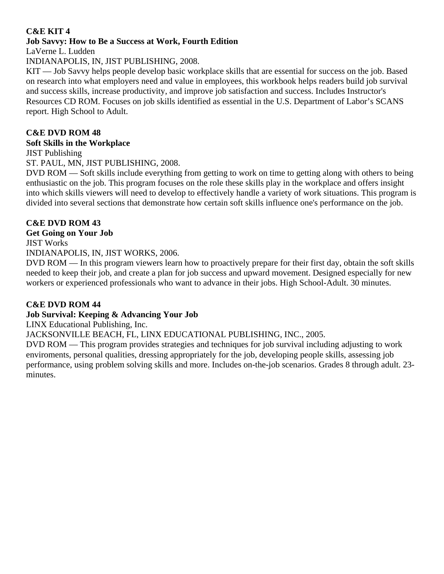#### **C&E KIT 4 Job Savvy: How to Be a Success at Work, Fourth Edition**

LaVerne L. Ludden

INDIANAPOLIS, IN, JIST PUBLISHING, 2008.

KIT — Job Savvy helps people develop basic workplace skills that are essential for success on the job. Based on research into what employers need and value in employees, this workbook helps readers build job survival and success skills, increase productivity, and improve job satisfaction and success. Includes Instructor's Resources CD ROM. Focuses on job skills identified as essential in the U.S. Department of Labor's SCANS report. High School to Adult.

# **C&E DVD ROM 48**

## **Soft Skills in the Workplace**

JIST Publishing

ST. PAUL, MN, JIST PUBLISHING, 2008.

DVD ROM — Soft skills include everything from getting to work on time to getting along with others to being enthusiastic on the job. This program focuses on the role these skills play in the workplace and offers insight into which skills viewers will need to develop to effectively handle a variety of work situations. This program is divided into several sections that demonstrate how certain soft skills influence one's performance on the job.

# **C&E DVD ROM 43**

### **Get Going on Your Job**

JIST Works

INDIANAPOLIS, IN, JIST WORKS, 2006.

DVD ROM — In this program viewers learn how to proactively prepare for their first day, obtain the soft skills needed to keep their job, and create a plan for job success and upward movement. Designed especially for new workers or experienced professionals who want to advance in their jobs. High School-Adult. 30 minutes.

# **C&E DVD ROM 44**

# **Job Survival: Keeping & Advancing Your Job**

LINX Educational Publishing, Inc.

JACKSONVILLE BEACH, FL, LINX EDUCATIONAL PUBLISHING, INC., 2005.

DVD ROM — This program provides strategies and techniques for job survival including adjusting to work enviroments, personal qualities, dressing appropriately for the job, developing people skills, assessing job performance, using problem solving skills and more. Includes on-the-job scenarios. Grades 8 through adult. 23 minutes.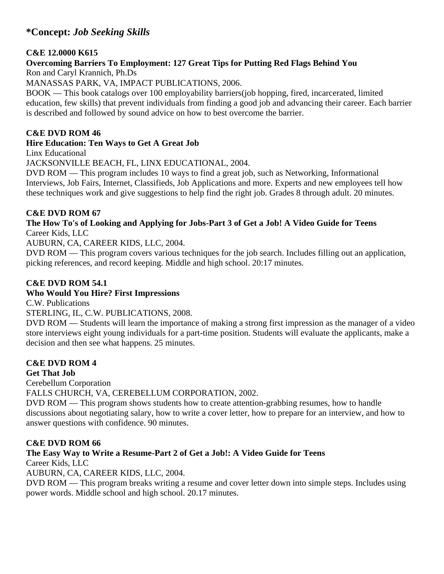# **\*Concept:** *Job Seeking Skills*

#### **C&E 12.0000 K615**

#### **Overcoming Barriers To Employment: 127 Great Tips for Putting Red Flags Behind You**  Ron and Caryl Krannich, Ph.Ds

MANASSAS PARK, VA, IMPACT PUBLICATIONS, 2006.

BOOK — This book catalogs over 100 employability barriers(job hopping, fired, incarcerated, limited education, few skills) that prevent individuals from finding a good job and advancing their career. Each barrier is described and followed by sound advice on how to best overcome the barrier.

#### **C&E DVD ROM 46**

#### **Hire Education: Ten Ways to Get A Great Job**

Linx Educational

JACKSONVILLE BEACH, FL, LINX EDUCATIONAL, 2004.

DVD ROM — This program includes 10 ways to find a great job, such as Networking, Informational Interviews, Job Fairs, Internet, Classifieds, Job Applications and more. Experts and new employees tell how these techniques work and give suggestions to help find the right job. Grades 8 through adult. 20 minutes.

#### **C&E DVD ROM 67**

#### **The How To's of Looking and Applying for Jobs-Part 3 of Get a Job! A Video Guide for Teens**  Career Kids, LLC

AUBURN, CA, CAREER KIDS, LLC, 2004.

DVD ROM — This program covers various techniques for the job search. Includes filling out an application, picking references, and record keeping. Middle and high school. 20:17 minutes.

### **C&E DVD ROM 54.1**

#### **Who Would You Hire? First Impressions**

C.W. Publications

STERLING, IL, C.W. PUBLICATIONS, 2008.

DVD ROM — Students will learn the importance of making a strong first impression as the manager of a video store interviews eight young individuals for a part-time position. Students will evaluate the applicants, make a decision and then see what happens. 25 minutes.

### **C&E DVD ROM 4**

#### **Get That Job**

Cerebellum Corporation

FALLS CHURCH, VA, CEREBELLUM CORPORATION, 2002.

DVD ROM — This program shows students how to create attention-grabbing resumes, how to handle discussions about negotiating salary, how to write a cover letter, how to prepare for an interview, and how to answer questions with confidence. 90 minutes.

### **C&E DVD ROM 66**

# **The Easy Way to Write a Resume-Part 2 of Get a Job!: A Video Guide for Teens**

Career Kids, LLC

AUBURN, CA, CAREER KIDS, LLC, 2004.

DVD ROM — This program breaks writing a resume and cover letter down into simple steps. Includes using power words. Middle school and high school. 20.17 minutes.